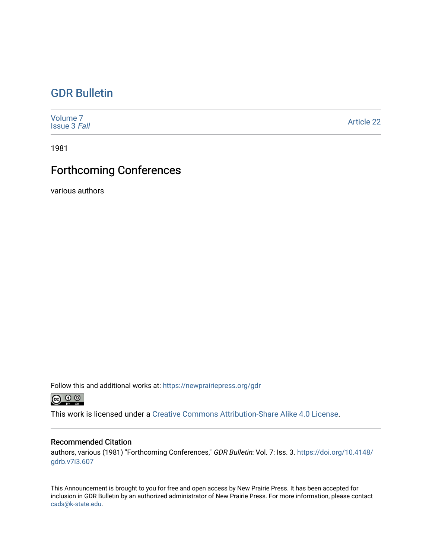## [GDR Bulletin](https://newprairiepress.org/gdr)

| Volume <sub>7</sub><br><b>Issue 3 Fall</b> | <b>Article 22</b> |
|--------------------------------------------|-------------------|
|--------------------------------------------|-------------------|

1981

## Forthcoming Conferences

various authors

Follow this and additional works at: [https://newprairiepress.org/gdr](https://newprairiepress.org/gdr?utm_source=newprairiepress.org%2Fgdr%2Fvol7%2Fiss3%2F22&utm_medium=PDF&utm_campaign=PDFCoverPages) 



This work is licensed under a [Creative Commons Attribution-Share Alike 4.0 License.](https://creativecommons.org/licenses/by-sa/4.0/)

## Recommended Citation

authors, various (1981) "Forthcoming Conferences," GDR Bulletin: Vol. 7: Iss. 3. [https://doi.org/10.4148/](https://doi.org/10.4148/gdrb.v7i3.607) [gdrb.v7i3.607](https://doi.org/10.4148/gdrb.v7i3.607) 

This Announcement is brought to you for free and open access by New Prairie Press. It has been accepted for inclusion in GDR Bulletin by an authorized administrator of New Prairie Press. For more information, please contact [cads@k-state.edu.](mailto:cads@k-state.edu)